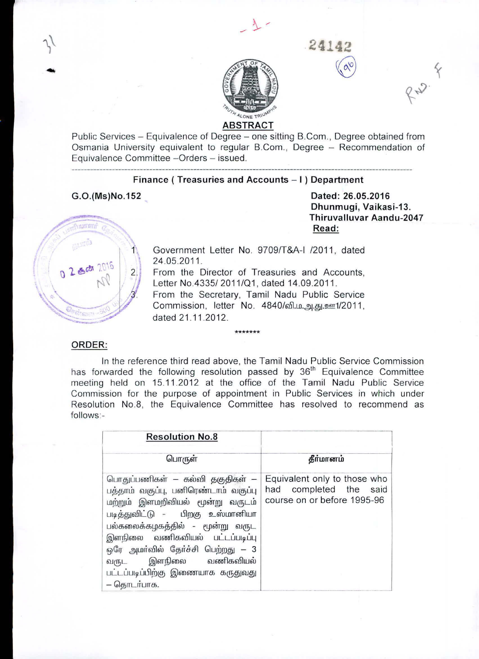

# ABSTRACT

Public Services - Equivalence of Degree - one sitting B.Com., Degree obtained from Osmania University equivalent to regular B.Com., Degree - Recommendation of Equivalence Committee -Orders - issued.

### Finance ( Treasuries and Accounts - I ) Department

G.O.(Ms)No.152

Dated: 26.05.2016 Dhunmugi, Vaikasi-13. Thiruvalluvar Aandu-2047 Read:

**.24142**

 $\sqrt{\alpha^0}$ 

RN. F



 $3^{\prime}$ 

Government Letter No. 9709/T&A-I /2011, dated 24.05.2011.

From the Director of Treasuries and Accounts, Letter No.4335/ 2011/01, dated 14.09.2011. From the Secretary, Tamil Nadu Public Service Commission, letter No. 4840/வி.ம. அ.சு.ஊ1/2011, dated 21.11.2012.

#### ORDER:

In the reference third read above, the Tamil Nadu Public Service Commission has forwarded the following resolution passed by  $36<sup>th</sup>$  Equivalence Committee meeting held on 15.11.2012 at the office of the Tamil Nadu Public Service Commission for the purpose of appointment in Public Services in which under Resolution NO.8, the Equivalence Committee has resolved to recommend as follows:-

**\*\*\*\*\*\*\***

| <b>Resolution No.8</b>                                                                                                                                                                                                                                                                                                                  |                                                                                       |
|-----------------------------------------------------------------------------------------------------------------------------------------------------------------------------------------------------------------------------------------------------------------------------------------------------------------------------------------|---------------------------------------------------------------------------------------|
| பொருள்                                                                                                                                                                                                                                                                                                                                  | தீா்மானம்                                                                             |
| பொதுப்பணிகள் — கல்வி தகுதிகள் —<br>பத்தாம் வகுப்பு, பனிரெண்டாம் வகுப்பு<br>மற்றும் இளமறிவியல் மூன்று வருடம்<br>படித்துவிட்டு - பிறகு உஸ்மானியா<br>பல்கலைக்கழகத்தில் - மூன்று வருட<br>இளநிலை வணிகவியல் பட்டப்படிப்பு<br>ஒரே அமா்வில் தோ்ச்சி பெற்றது — 3<br>இளநிலை வணிகவியல்<br>வருட<br>பட்டப்படிப்பிற்கு இணையாக கருதுவது<br>– தொடர்பாக. | Equivalent only to those who<br>had completed the said<br>course on or before 1995-96 |